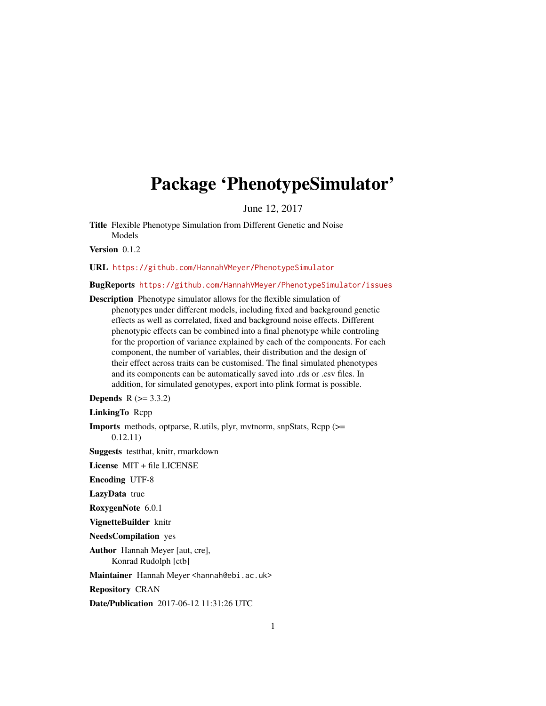# <span id="page-0-0"></span>Package 'PhenotypeSimulator'

June 12, 2017

Title Flexible Phenotype Simulation from Different Genetic and Noise Models

Version 0.1.2

URL <https://github.com/HannahVMeyer/PhenotypeSimulator>

#### BugReports <https://github.com/HannahVMeyer/PhenotypeSimulator/issues>

Description Phenotype simulator allows for the flexible simulation of phenotypes under different models, including fixed and background genetic effects as well as correlated, fixed and background noise effects. Different phenotypic effects can be combined into a final phenotype while controling for the proportion of variance explained by each of the components. For each component, the number of variables, their distribution and the design of their effect across traits can be customised. The final simulated phenotypes and its components can be automatically saved into .rds or .csv files. In addition, for simulated genotypes, export into plink format is possible.

**Depends**  $R (= 3.3.2)$ 

LinkingTo Rcpp

Imports methods, optparse, R.utils, plyr, mvtnorm, snpStats, Rcpp (>= 0.12.11)

Suggests testthat, knitr, rmarkdown

License MIT + file LICENSE

Encoding UTF-8

LazyData true

RoxygenNote 6.0.1

VignetteBuilder knitr

NeedsCompilation yes

Author Hannah Meyer [aut, cre], Konrad Rudolph [ctb]

Maintainer Hannah Meyer <hannah@ebi.ac.uk>

Repository CRAN

Date/Publication 2017-06-12 11:31:26 UTC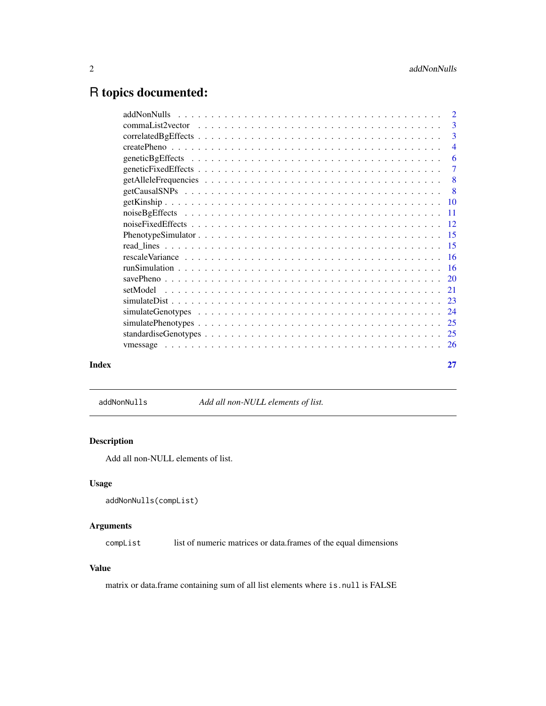## <span id="page-1-0"></span>R topics documented:

|       | $\overline{\mathbf{3}}$   |
|-------|---------------------------|
|       |                           |
|       | $\overline{4}$            |
|       | -6                        |
|       |                           |
|       | $\overline{\phantom{0}}8$ |
|       | $\overline{\phantom{0}}8$ |
|       |                           |
|       |                           |
|       |                           |
|       |                           |
|       |                           |
|       |                           |
|       |                           |
|       |                           |
|       |                           |
|       |                           |
|       |                           |
|       |                           |
|       |                           |
|       |                           |
| Index | 27                        |
|       |                           |

addNonNulls *Add all non-NULL elements of list.*

## Description

Add all non-NULL elements of list.

#### Usage

```
addNonNulls(compList)
```
## Arguments

compList list of numeric matrices or data.frames of the equal dimensions

#### Value

matrix or data.frame containing sum of all list elements where is.null is FALSE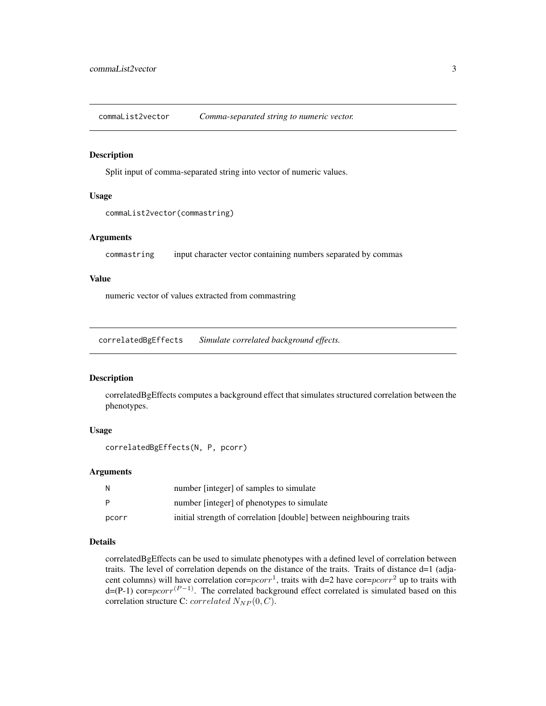<span id="page-2-0"></span>commaList2vector *Comma-separated string to numeric vector.*

#### Description

Split input of comma-separated string into vector of numeric values.

#### Usage

```
commaList2vector(commastring)
```
#### Arguments

commastring input character vector containing numbers separated by commas

#### Value

numeric vector of values extracted from commastring

<span id="page-2-1"></span>correlatedBgEffects *Simulate correlated background effects.*

#### Description

correlatedBgEffects computes a background effect that simulates structured correlation between the phenotypes.

#### Usage

```
correlatedBgEffects(N, P, pcorr)
```
#### Arguments

| N     | number [integer] of samples to simulate                              |
|-------|----------------------------------------------------------------------|
| P     | number [integer] of phenotypes to simulate                           |
| pcorr | initial strength of correlation [double] between neighbouring traits |

#### Details

correlatedBgEffects can be used to simulate phenotypes with a defined level of correlation between traits. The level of correlation depends on the distance of the traits. Traits of distance d=1 (adjacent columns) will have correlation cor= $pcorr^1$ , traits with d=2 have cor= $pcorr^2$  up to traits with  $d=(P-1)$  cor $=pcorr^{(P-1)}$ . The correlated background effect correlated is simulated based on this correlation structure C: correlated  $N_{NP}(0, C)$ .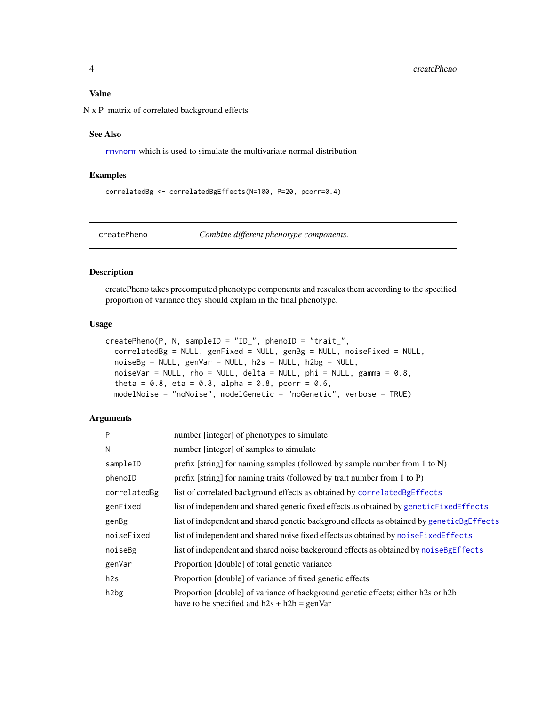#### <span id="page-3-0"></span>Value

N x P matrix of correlated background effects

#### See Also

[rmvnorm](#page-0-0) which is used to simulate the multivariate normal distribution

#### Examples

```
correlatedBg <- correlatedBgEffects(N=100, P=20, pcorr=0.4)
```
<span id="page-3-1"></span>createPheno *Combine different phenotype components.*

#### Description

createPheno takes precomputed phenotype components and rescales them according to the specified proportion of variance they should explain in the final phenotype.

#### Usage

```
createPheno(P, N, sampleID = "ID_", phenoID = "trait_",
 correlatedBg = NULL, genFixed = NULL, genBg = NULL, noiseFixed = NULL,
 noiseBg = NULL, genVar = NULL, h2s = NULL, h2bg = NULL,
 noiseVar = NULL, rho = NULL, delta = NULL, delta = NULL, phi = 0.8,
  theta = 0.8, eta = 0.8, alpha = 0.8, pcorr = 0.6,
 modelNoise = "noNoise", modelGenetic = "noGenetic", verbose = TRUE)
```

| P                 | number [integer] of phenotypes to simulate                                                                                        |
|-------------------|-----------------------------------------------------------------------------------------------------------------------------------|
| N                 | number [integer] of samples to simulate                                                                                           |
| sampleID          | prefix [string] for naming samples (followed by sample number from 1 to N)                                                        |
| phenoID           | prefix [string] for naming traits (followed by trait number from 1 to P)                                                          |
| correlatedBg      | list of correlated background effects as obtained by correlatedBgEffects                                                          |
| genFixed          | list of independent and shared genetic fixed effects as obtained by geneticFixedEffects                                           |
| genBg             | list of independent and shared genetic background effects as obtained by geneticBgEffects                                         |
| noiseFixed        | list of independent and shared noise fixed effects as obtained by noise Fixed Effects                                             |
| noiseBg           | list of independent and shared noise background effects as obtained by noiseBgEffects                                             |
| genVar            | Proportion [double] of total genetic variance                                                                                     |
| h2s               | Proportion [double] of variance of fixed genetic effects                                                                          |
| h <sub>2</sub> bg | Proportion [double] of variance of background genetic effects; either h2s or h2b<br>have to be specified and $h2s + h2b = genVar$ |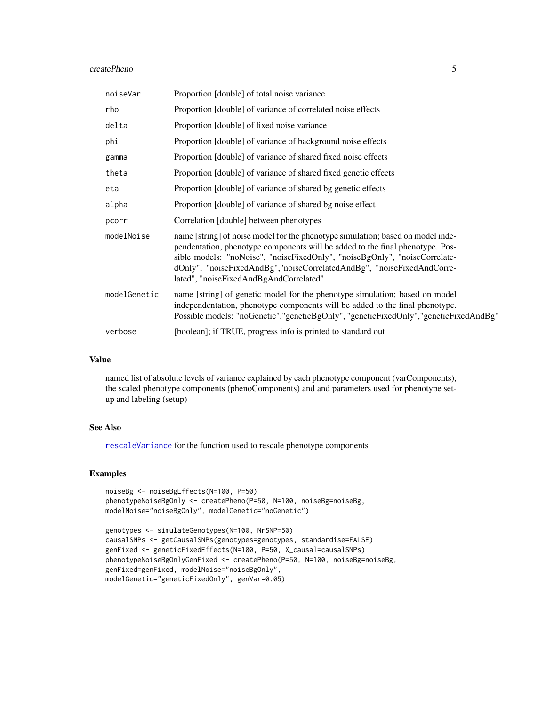#### <span id="page-4-0"></span>createPheno 5

| noiseVar     | Proportion [double] of total noise variance                                                                                                                                                                                                                                                                                                                        |
|--------------|--------------------------------------------------------------------------------------------------------------------------------------------------------------------------------------------------------------------------------------------------------------------------------------------------------------------------------------------------------------------|
| rho          | Proportion [double] of variance of correlated noise effects                                                                                                                                                                                                                                                                                                        |
| delta        | Proportion [double] of fixed noise variance                                                                                                                                                                                                                                                                                                                        |
| phi          | Proportion [double] of variance of background noise effects                                                                                                                                                                                                                                                                                                        |
| gamma        | Proportion [double] of variance of shared fixed noise effects                                                                                                                                                                                                                                                                                                      |
| theta        | Proportion [double] of variance of shared fixed genetic effects                                                                                                                                                                                                                                                                                                    |
| eta          | Proportion [double] of variance of shared bg genetic effects                                                                                                                                                                                                                                                                                                       |
| alpha        | Proportion [double] of variance of shared bg noise effect                                                                                                                                                                                                                                                                                                          |
| pcorr        | Correlation [double] between phenotypes                                                                                                                                                                                                                                                                                                                            |
| modelNoise   | name [string] of noise model for the phenotype simulation; based on model inde-<br>pendentation, phenotype components will be added to the final phenotype. Pos-<br>sible models: "noNoise", "noiseFixedOnly", "noiseBgOnly", "noiseCorrelate-<br>dOnly", "noiseFixedAndBg","noiseCorrelatedAndBg", "noiseFixedAndCorre-<br>lated", "noiseFixedAndBgAndCorrelated" |
| modelGenetic | name [string] of genetic model for the phenotype simulation; based on model<br>independentation, phenotype components will be added to the final phenotype.<br>Possible models: "noGenetic", "geneticBgOnly", "geneticFixedOnly", "geneticFixedAndBg"                                                                                                              |
| verbose      | [boolean]; if TRUE, progress info is printed to standard out                                                                                                                                                                                                                                                                                                       |

#### Value

named list of absolute levels of variance explained by each phenotype component (varComponents), the scaled phenotype components (phenoComponents) and and parameters used for phenotype setup and labeling (setup)

#### See Also

[rescaleVariance](#page-15-1) for the function used to rescale phenotype components

```
noiseBg <- noiseBgEffects(N=100, P=50)
phenotypeNoiseBgOnly <- createPheno(P=50, N=100, noiseBg=noiseBg,
modelNoise="noiseBgOnly", modelGenetic="noGenetic")
```

```
genotypes <- simulateGenotypes(N=100, NrSNP=50)
causalSNPs <- getCausalSNPs(genotypes=genotypes, standardise=FALSE)
genFixed <- geneticFixedEffects(N=100, P=50, X_causal=causalSNPs)
phenotypeNoiseBgOnlyGenFixed <- createPheno(P=50, N=100, noiseBg=noiseBg,
genFixed=genFixed, modelNoise="noiseBgOnly",
modelGenetic="geneticFixedOnly", genVar=0.05)
```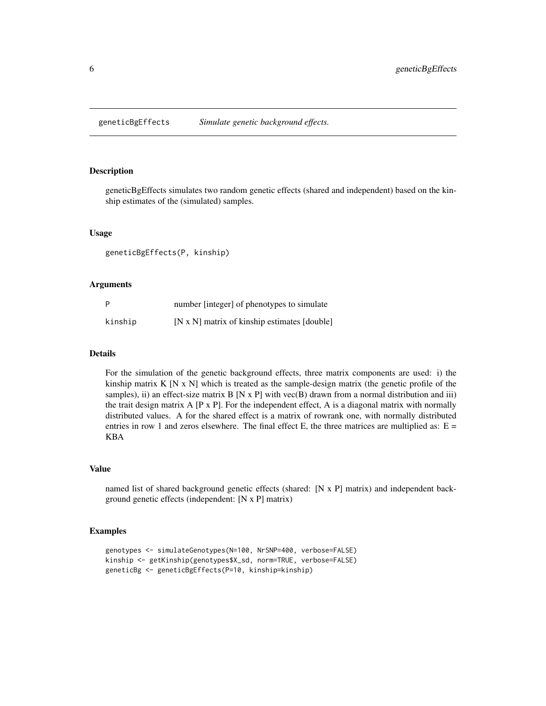<span id="page-5-1"></span><span id="page-5-0"></span>geneticBgEffects *Simulate genetic background effects.*

#### Description

geneticBgEffects simulates two random genetic effects (shared and independent) based on the kinship estimates of the (simulated) samples.

#### Usage

geneticBgEffects(P, kinship)

#### Arguments

| P       | number [integer] of phenotypes to simulate   |
|---------|----------------------------------------------|
| kinship | [N x N] matrix of kinship estimates [double] |

#### Details

For the simulation of the genetic background effects, three matrix components are used: i) the kinship matrix  $K [N x N]$  which is treated as the sample-design matrix (the genetic profile of the samples), ii) an effect-size matrix  $B [N \times P]$  with vec $(B)$  drawn from a normal distribution and iii) the trait design matrix  $A$  [P x P]. For the independent effect, A is a diagonal matrix with normally distributed values. A for the shared effect is a matrix of rowrank one, with normally distributed entries in row 1 and zeros elsewhere. The final effect E, the three matrices are multiplied as:  $E =$ KBA

#### Value

named list of shared background genetic effects (shared: [N x P] matrix) and independent background genetic effects (independent: [N x P] matrix)

```
genotypes <- simulateGenotypes(N=100, NrSNP=400, verbose=FALSE)
kinship <- getKinship(genotypes$X_sd, norm=TRUE, verbose=FALSE)
geneticBg <- geneticBgEffects(P=10, kinship=kinship)
```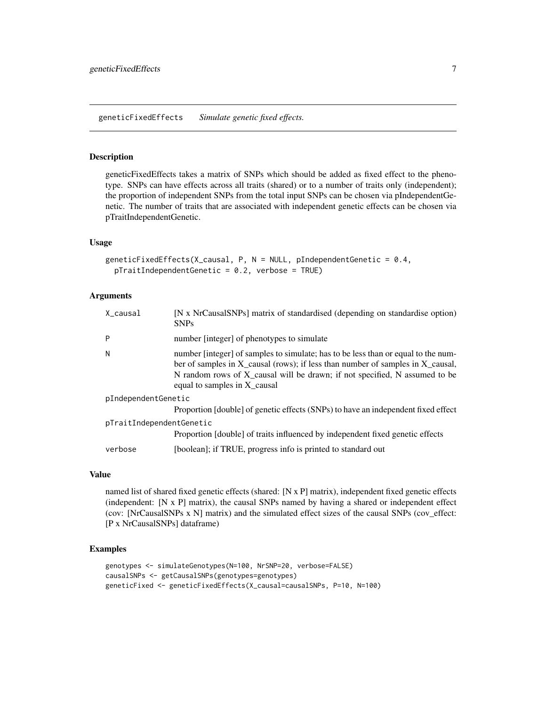#### <span id="page-6-1"></span><span id="page-6-0"></span>Description

geneticFixedEffects takes a matrix of SNPs which should be added as fixed effect to the phenotype. SNPs can have effects across all traits (shared) or to a number of traits only (independent); the proportion of independent SNPs from the total input SNPs can be chosen via pIndependentGenetic. The number of traits that are associated with independent genetic effects can be chosen via pTraitIndependentGenetic.

#### Usage

```
geneticFixedEffects(X_causal, P, N = NULL, pIndependentGenetic = 0.4,
 pTraitIndependentGenetic = 0.2, verbose = TRUE)
```
#### Arguments

| X_causal                 | [N x NrCausalSNPs] matrix of standardised (depending on standardise option)<br><b>SNPs</b>                                                                                                                                                                                        |
|--------------------------|-----------------------------------------------------------------------------------------------------------------------------------------------------------------------------------------------------------------------------------------------------------------------------------|
| P                        | number [integer] of phenotypes to simulate                                                                                                                                                                                                                                        |
| N                        | number [integer] of samples to simulate; has to be less than or equal to the num-<br>ber of samples in X_causal (rows); if less than number of samples in X_causal,<br>N random rows of X_causal will be drawn; if not specified, N assumed to be<br>equal to samples in X causal |
| pIndependentGenetic      |                                                                                                                                                                                                                                                                                   |
|                          | Proportion [double] of genetic effects (SNPs) to have an independent fixed effect                                                                                                                                                                                                 |
| pTraitIndependentGenetic |                                                                                                                                                                                                                                                                                   |
|                          | Proportion [double] of traits influenced by independent fixed genetic effects                                                                                                                                                                                                     |
| verbose                  | [boolean]; if TRUE, progress info is printed to standard out                                                                                                                                                                                                                      |

#### Value

named list of shared fixed genetic effects (shared: [N x P] matrix), independent fixed genetic effects (independent: [N x P] matrix), the causal SNPs named by having a shared or independent effect (cov: [NrCausalSNPs x N] matrix) and the simulated effect sizes of the causal SNPs (cov\_effect: [P x NrCausalSNPs] dataframe)

```
genotypes <- simulateGenotypes(N=100, NrSNP=20, verbose=FALSE)
causalSNPs <- getCausalSNPs(genotypes=genotypes)
geneticFixed <- geneticFixedEffects(X_causal=causalSNPs, P=10, N=100)
```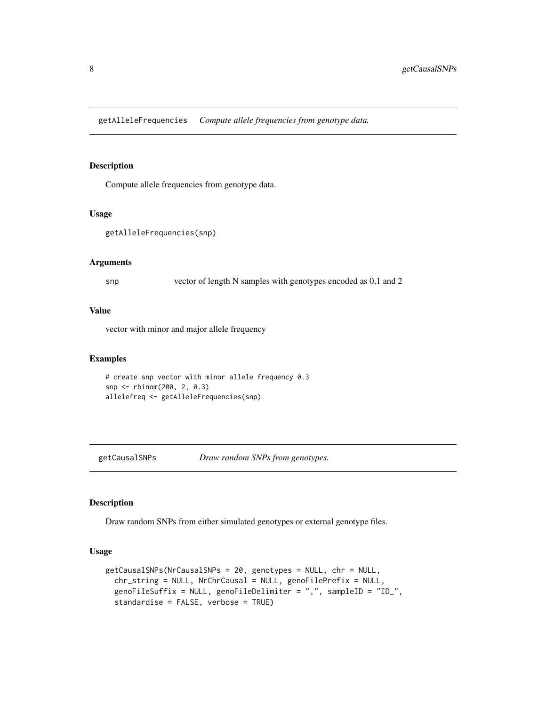<span id="page-7-1"></span><span id="page-7-0"></span>getAlleleFrequencies *Compute allele frequencies from genotype data.*

#### Description

Compute allele frequencies from genotype data.

#### Usage

```
getAlleleFrequencies(snp)
```
#### Arguments

snp vector of length N samples with genotypes encoded as 0,1 and 2

#### Value

vector with minor and major allele frequency

#### Examples

```
# create snp vector with minor allele frequency 0.3
snp <- rbinom(200, 2, 0.3)
allelefreq <- getAlleleFrequencies(snp)
```
getCausalSNPs *Draw random SNPs from genotypes.*

#### Description

Draw random SNPs from either simulated genotypes or external genotype files.

#### Usage

```
getCausalSNPs(NrCausalSNPs = 20, genotypes = NULL, chr = NULL,
  chr_string = NULL, NrChrCausal = NULL, genoFilePrefix = NULL,
  genoFileSuffix = NULL, genoFileDelimiter = ",", sampleID = "ID_",
  standardise = FALSE, verbose = TRUE)
```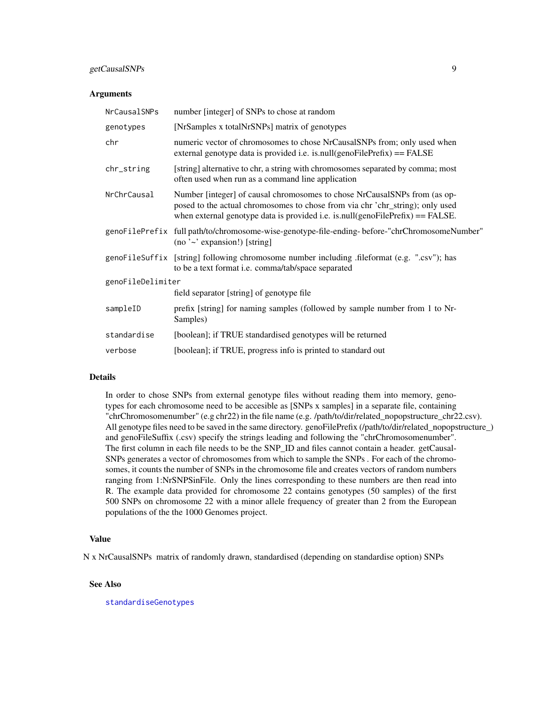#### <span id="page-8-0"></span>getCausalSNPs 9

#### **Arguments**

| NrCausalSNPs      | number [integer] of SNPs to chose at random                                                                                                                                                                                                  |  |
|-------------------|----------------------------------------------------------------------------------------------------------------------------------------------------------------------------------------------------------------------------------------------|--|
| genotypes         | [NrSamples x totalNrSNPs] matrix of genotypes                                                                                                                                                                                                |  |
| chr               | numeric vector of chromosomes to chose NrCausalSNPs from; only used when<br>external genotype data is provided i.e. is.null(genoFilePrefix) == FALSE                                                                                         |  |
| chr_string        | [string] alternative to chr, a string with chromosomes separated by comma; most<br>often used when run as a command line application                                                                                                         |  |
| NrChrCausal       | Number [integer] of causal chromosomes to chose NrCausalSNPs from (as op-<br>posed to the actual chromosomes to chose from via chr 'chr_string); only used<br>when external genotype data is provided i.e. is.null(genoFilePrefix) == FALSE. |  |
|                   | genoFilePrefix full path/to/chromosome-wise-genotype-file-ending-before-"chrChromosomeNumber"<br>(no $\sim$ expansion!) [string]                                                                                                             |  |
|                   | genoFileSuffix [string] following chromosome number including .fileformat (e.g. ".csv"); has<br>to be a text format i.e. comma/tab/space separated                                                                                           |  |
| genoFileDelimiter |                                                                                                                                                                                                                                              |  |
|                   | field separator [string] of genotype file                                                                                                                                                                                                    |  |
| sampleID          | prefix [string] for naming samples (followed by sample number from 1 to Nr-<br>Samples)                                                                                                                                                      |  |
| standardise       | [boolean]; if TRUE standardised genotypes will be returned                                                                                                                                                                                   |  |
| verbose           | [boolean]; if TRUE, progress info is printed to standard out                                                                                                                                                                                 |  |

#### Details

In order to chose SNPs from external genotype files without reading them into memory, genotypes for each chromosome need to be accesible as [SNPs x samples] in a separate file, containing "chrChromosomenumber" (e.g chr22) in the file name (e.g. /path/to/dir/related\_nopopstructure\_chr22.csv). All genotype files need to be saved in the same directory. genoFilePrefix (/path/to/dir/related\_nopopstructure\_) and genoFileSuffix (.csv) specify the strings leading and following the "chrChromosomenumber". The first column in each file needs to be the SNP\_ID and files cannot contain a header. getCausal-SNPs generates a vector of chromosomes from which to sample the SNPs . For each of the chromosomes, it counts the number of SNPs in the chromosome file and creates vectors of random numbers ranging from 1:NrSNPSinFile. Only the lines corresponding to these numbers are then read into R. The example data provided for chromosome 22 contains genotypes (50 samples) of the first 500 SNPs on chromosome 22 with a minor allele frequency of greater than 2 from the European populations of the the 1000 Genomes project.

#### Value

N x NrCausalSNPs matrix of randomly drawn, standardised (depending on standardise option) SNPs

#### See Also

[standardiseGenotypes](#page-24-1)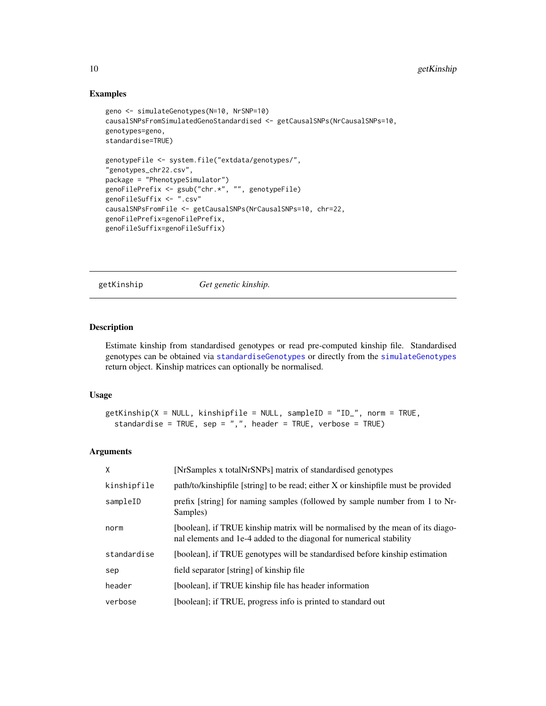#### Examples

```
geno <- simulateGenotypes(N=10, NrSNP=10)
causalSNPsFromSimulatedGenoStandardised <- getCausalSNPs(NrCausalSNPs=10,
genotypes=geno,
standardise=TRUE)
genotypeFile <- system.file("extdata/genotypes/",
"genotypes_chr22.csv",
package = "PhenotypeSimulator")
genoFilePrefix <- gsub("chr.*", "", genotypeFile)
genoFileSuffix <- ".csv"
causalSNPsFromFile <- getCausalSNPs(NrCausalSNPs=10, chr=22,
genoFilePrefix=genoFilePrefix,
genoFileSuffix=genoFileSuffix)
```
getKinship *Get genetic kinship.*

#### Description

Estimate kinship from standardised genotypes or read pre-computed kinship file. Standardised genotypes can be obtained via [standardiseGenotypes](#page-24-1) or directly from the [simulateGenotypes](#page-23-1) return object. Kinship matrices can optionally be normalised.

#### Usage

```
getKinship(X = NULL, kinshipfile = NULL, sampleID = "ID_", norm = TRUE,
  standardise = TRUE, sep = ",", header = TRUE, verbose = TRUE)
```

| X           | [NrSamples x totalNrSNPs] matrix of standardised genotypes                                                                                            |
|-------------|-------------------------------------------------------------------------------------------------------------------------------------------------------|
| kinshipfile | path/to/kinshipfile [string] to be read; either X or kinshipfile must be provided                                                                     |
| sampleID    | prefix [string] for naming samples (followed by sample number from 1 to Nr-<br>Samples)                                                               |
| norm        | [boolean], if TRUE kinship matrix will be normalised by the mean of its diago-<br>nal elements and 1e-4 added to the diagonal for numerical stability |
| standardise | [boolean], if TRUE genotypes will be standardised before kinship estimation                                                                           |
| sep         | field separator [string] of kinship file                                                                                                              |
| header      | [boolean], if TRUE kinship file has header information                                                                                                |
| verbose     | [boolean]; if TRUE, progress info is printed to standard out                                                                                          |

<span id="page-9-0"></span>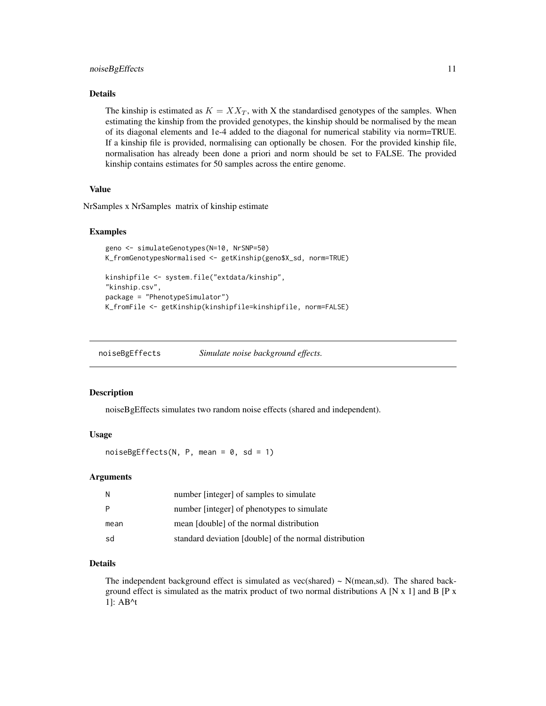#### <span id="page-10-0"></span>noiseBgEffects 11

#### Details

The kinship is estimated as  $K = XX_T$ , with X the standardised genotypes of the samples. When estimating the kinship from the provided genotypes, the kinship should be normalised by the mean of its diagonal elements and 1e-4 added to the diagonal for numerical stability via norm=TRUE. If a kinship file is provided, normalising can optionally be chosen. For the provided kinship file, normalisation has already been done a priori and norm should be set to FALSE. The provided kinship contains estimates for 50 samples across the entire genome.

#### Value

NrSamples x NrSamples matrix of kinship estimate

#### Examples

```
geno <- simulateGenotypes(N=10, NrSNP=50)
K_fromGenotypesNormalised <- getKinship(geno$X_sd, norm=TRUE)
kinshipfile <- system.file("extdata/kinship",
"kinship.csv",
package = "PhenotypeSimulator")
K_fromFile <- getKinship(kinshipfile=kinshipfile, norm=FALSE)
```
<span id="page-10-1"></span>noiseBgEffects *Simulate noise background effects.*

#### Description

noiseBgEffects simulates two random noise effects (shared and independent).

#### Usage

 $noiseBgEffects(N, P, mean = 0, sd = 1)$ 

#### Arguments

| -N   | number [integer] of samples to simulate                |
|------|--------------------------------------------------------|
| P    | number [integer] of phenotypes to simulate             |
| mean | mean [double] of the normal distribution               |
| sd   | standard deviation [double] of the normal distribution |

#### Details

The independent background effect is simulated as vec(shared)  $\sim$  N(mean,sd). The shared background effect is simulated as the matrix product of two normal distributions A [N  $x$  1] and B [P  $x$ 1]: AB^t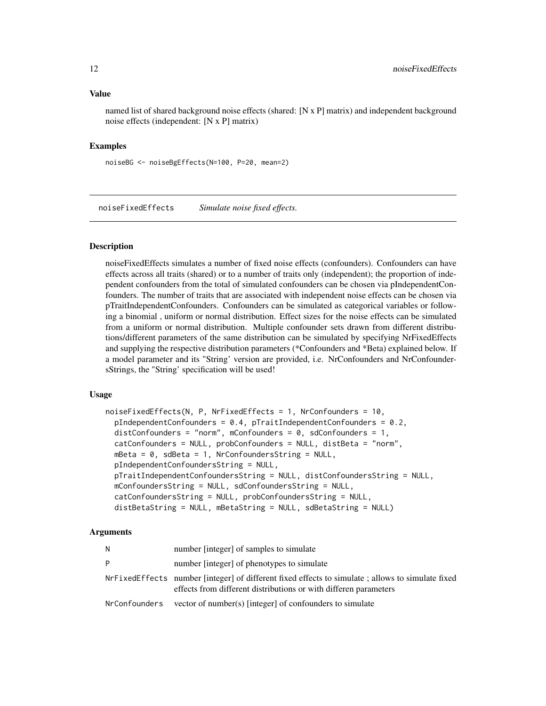#### <span id="page-11-0"></span>Value

named list of shared background noise effects (shared: [N x P] matrix) and independent background noise effects (independent: [N x P] matrix)

#### Examples

noiseBG <- noiseBgEffects(N=100, P=20, mean=2)

<span id="page-11-1"></span>noiseFixedEffects *Simulate noise fixed effects.*

#### Description

noiseFixedEffects simulates a number of fixed noise effects (confounders). Confounders can have effects across all traits (shared) or to a number of traits only (independent); the proportion of independent confounders from the total of simulated confounders can be chosen via pIndependentConfounders. The number of traits that are associated with independent noise effects can be chosen via pTraitIndependentConfounders. Confounders can be simulated as categorical variables or following a binomial , uniform or normal distribution. Effect sizes for the noise effects can be simulated from a uniform or normal distribution. Multiple confounder sets drawn from different distributions/different parameters of the same distribution can be simulated by specifying NrFixedEffects and supplying the respective distribution parameters (\*Confounders and \*Beta) explained below. If a model parameter and its "String' version are provided, i.e. NrConfounders and NrConfoundersStrings, the "String' specification will be used!

#### Usage

```
noiseFixedEffects(N, P, NrFixedEffects = 1, NrConfounders = 10,
  pIndependentConfounders = 0.4, pTraindependentConfounders = 0.2,
  distConfounders = "norm", mConfounders = 0, sdConfounders = 1,
 catConfounders = NULL, probConfounders = NULL, distBeta = "norm",
 mBeta = 0, sdBeta = 1, NrConfoundersString = NULL,
 pIndependentConfoundersString = NULL,
  pTraitIndependentConfoundersString = NULL, distConfoundersString = NULL,
 mConfoundersString = NULL, sdConfoundersString = NULL,
  catConfoundersString = NULL, probConfoundersString = NULL,
  distBetaString = NULL, mBetaString = NULL, sdBetaString = NULL)
```

| N             | number [integer] of samples to simulate                                                                                                                              |
|---------------|----------------------------------------------------------------------------------------------------------------------------------------------------------------------|
| P             | number [integer] of phenotypes to simulate                                                                                                                           |
|               | NrFixedEffects number [integer] of different fixed effects to simulate; allows to simulate fixed<br>effects from different distributions or with differen parameters |
| NrConfounders | vector of number(s) [integer] of confounders to simulate                                                                                                             |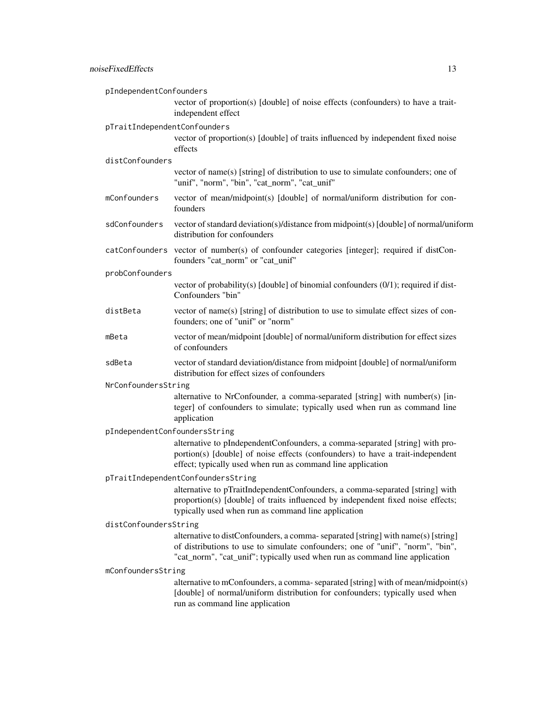| pIndependentConfounders       |                                                                                                                                                                                                                                                   |  |
|-------------------------------|---------------------------------------------------------------------------------------------------------------------------------------------------------------------------------------------------------------------------------------------------|--|
|                               | vector of proportion(s) [double] of noise effects (confounders) to have a trait-<br>independent effect                                                                                                                                            |  |
| pTraitIndependentConfounders  |                                                                                                                                                                                                                                                   |  |
|                               | vector of proportion(s) [double] of traits influenced by independent fixed noise<br>effects                                                                                                                                                       |  |
| distConfounders               |                                                                                                                                                                                                                                                   |  |
|                               | vector of name(s) [string] of distribution to use to simulate confounders; one of<br>"unif", "norm", "bin", "cat_norm", "cat_unif"                                                                                                                |  |
| mConfounders                  | vector of mean/midpoint(s) [double] of normal/uniform distribution for con-<br>founders                                                                                                                                                           |  |
| sdConfounders                 | vector of standard deviation(s)/distance from midpoint(s) [double] of normal/uniform<br>distribution for confounders                                                                                                                              |  |
|                               | catConfounders vector of number(s) of confounder categories [integer]; required if distCon-<br>founders "cat_norm" or "cat_unif"                                                                                                                  |  |
| probConfounders               |                                                                                                                                                                                                                                                   |  |
|                               | vector of probability(s) [double] of binomial confounders (0/1); required if dist-<br>Confounders "bin"                                                                                                                                           |  |
| distBeta                      | vector of name(s) [string] of distribution to use to simulate effect sizes of con-<br>founders; one of "unif" or "norm"                                                                                                                           |  |
| mBeta                         | vector of mean/midpoint [double] of normal/uniform distribution for effect sizes<br>of confounders                                                                                                                                                |  |
| sdBeta                        | vector of standard deviation/distance from midpoint [double] of normal/uniform<br>distribution for effect sizes of confounders                                                                                                                    |  |
| NrConfoundersString           |                                                                                                                                                                                                                                                   |  |
|                               | alternative to NrConfounder, a comma-separated [string] with number(s) [in-<br>teger] of confounders to simulate; typically used when run as command line<br>application                                                                          |  |
| pIndependentConfoundersString |                                                                                                                                                                                                                                                   |  |
|                               | alternative to pIndependentConfounders, a comma-separated [string] with pro-<br>portion(s) [double] of noise effects (confounders) to have a trait-independent<br>effect; typically used when run as command line application                     |  |
|                               | pTraitIndependentConfoundersString                                                                                                                                                                                                                |  |
|                               | alternative to pTraitIndependentConfounders, a comma-separated [string] with<br>proportion(s) [double] of traits influenced by independent fixed noise effects;<br>typically used when run as command line application                            |  |
| distConfoundersString         |                                                                                                                                                                                                                                                   |  |
|                               | alternative to distConfounders, a comma-separated [string] with name(s) [string]<br>of distributions to use to simulate confounders; one of "unif", "norm", "bin",<br>"cat_norm", "cat_unif"; typically used when run as command line application |  |
| mConfoundersString            |                                                                                                                                                                                                                                                   |  |
|                               | alternative to mConfounders, a comma-separated [string] with of mean/midpoint(s)<br>[double] of normal/uniform distribution for confounders; typically used when<br>run as command line application                                               |  |
|                               |                                                                                                                                                                                                                                                   |  |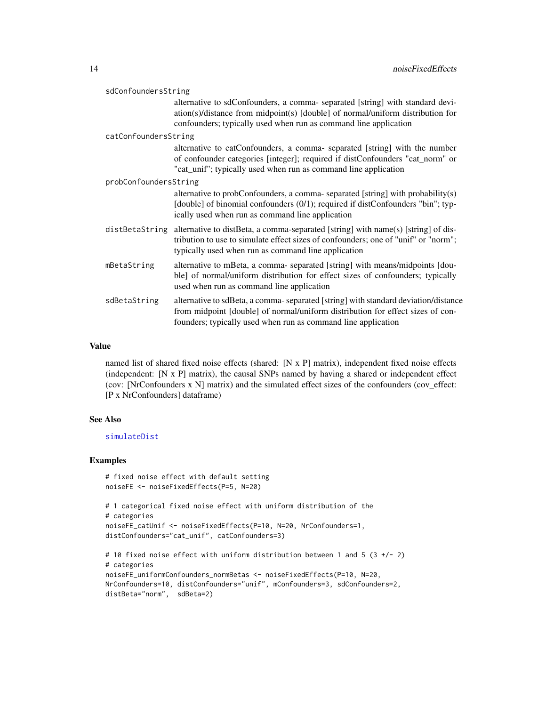<span id="page-13-0"></span>

| sdConfoundersString   |                                                                                                                                                                                                                                       |  |
|-----------------------|---------------------------------------------------------------------------------------------------------------------------------------------------------------------------------------------------------------------------------------|--|
|                       | alternative to sdConfounders, a comma- separated [string] with standard devi-<br>ation(s)/distance from midpoint(s) [double] of normal/uniform distribution for<br>confounders; typically used when run as command line application   |  |
| catConfoundersString  |                                                                                                                                                                                                                                       |  |
|                       | alternative to catConfounders, a comma- separated [string] with the number<br>of confounder categories [integer]; required if distConfounders "cat_norm" or<br>"cat_unif"; typically used when run as command line application        |  |
| probConfoundersString |                                                                                                                                                                                                                                       |  |
|                       | alternative to probConfounders, a comma-separated [string] with probability(s)<br>[double] of binomial confounders (0/1); required if distConfounders "bin"; typ-<br>ically used when run as command line application                 |  |
| distBetaString        | alternative to distBeta, a comma-separated [string] with name(s) [string] of dis-<br>tribution to use to simulate effect sizes of confounders; one of "unif" or "norm";<br>typically used when run as command line application        |  |
| mBetaString           | alternative to mBeta, a comma-separated [string] with means/midpoints [dou-<br>ble] of normal/uniform distribution for effect sizes of confounders; typically<br>used when run as command line application                            |  |
| sdBetaString          | alternative to sdBeta, a comma-separated [string] with standard deviation/distance<br>from midpoint [double] of normal/uniform distribution for effect sizes of con-<br>founders; typically used when run as command line application |  |
|                       |                                                                                                                                                                                                                                       |  |

#### Value

named list of shared fixed noise effects (shared: [N x P] matrix), independent fixed noise effects (independent: [N x P] matrix), the causal SNPs named by having a shared or independent effect (cov: [NrConfounders x N] matrix) and the simulated effect sizes of the confounders (cov\_effect: [P x NrConfounders] dataframe)

#### See Also

#### [simulateDist](#page-22-1)

```
# fixed noise effect with default setting
noiseFE <- noiseFixedEffects(P=5, N=20)
# 1 categorical fixed noise effect with uniform distribution of the
# categories
noiseFE_catUnif <- noiseFixedEffects(P=10, N=20, NrConfounders=1,
distConfounders="cat_unif", catConfounders=3)
# 10 fixed noise effect with uniform distribution between 1 and 5 (3 +/- 2)
# categories
noiseFE_uniformConfounders_normBetas <- noiseFixedEffects(P=10, N=20,
```

```
NrConfounders=10, distConfounders="unif", mConfounders=3, sdConfounders=2,
distBeta="norm", sdBeta=2)
```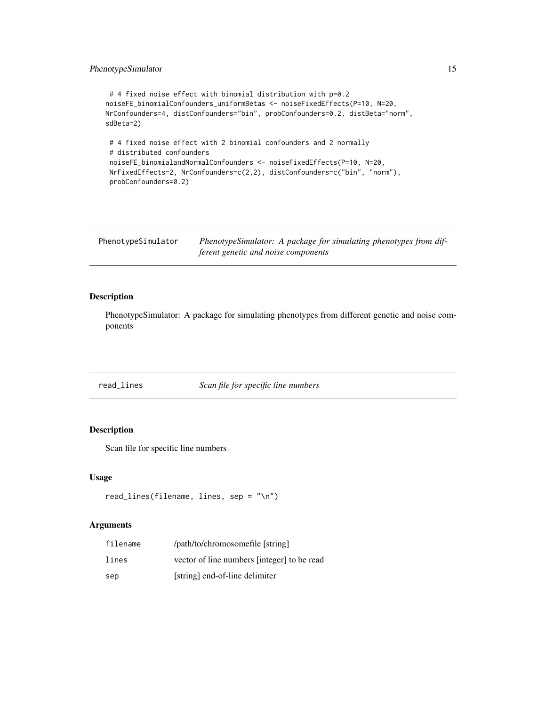#### <span id="page-14-0"></span>PhenotypeSimulator 15

```
# 4 fixed noise effect with binomial distribution with p=0.2
noiseFE_binomialConfounders_uniformBetas <- noiseFixedEffects(P=10, N=20,
NrConfounders=4, distConfounders="bin", probConfounders=0.2, distBeta="norm",
sdBeta=2)
# 4 fixed noise effect with 2 binomial confounders and 2 normally
# distributed confounders
noiseFE_binomialandNormalConfounders <- noiseFixedEffects(P=10, N=20,
NrFixedEffects=2, NrConfounders=c(2,2), distConfounders=c("bin", "norm"),
probConfounders=0.2)
```

| PhenotypeSimulator | PhenotypeSimulator: A package for simulating phenotypes from dif- |
|--------------------|-------------------------------------------------------------------|
|                    | ferent genetic and noise components                               |

#### Description

PhenotypeSimulator: A package for simulating phenotypes from different genetic and noise components

read\_lines *Scan file for specific line numbers*

#### Description

Scan file for specific line numbers

#### Usage

```
read_lines(filename, lines, sep = "\n")
```

| filename | /path/to/chromosomefile [string]            |
|----------|---------------------------------------------|
| lines    | vector of line numbers [integer] to be read |
| sep      | [string] end-of-line delimiter              |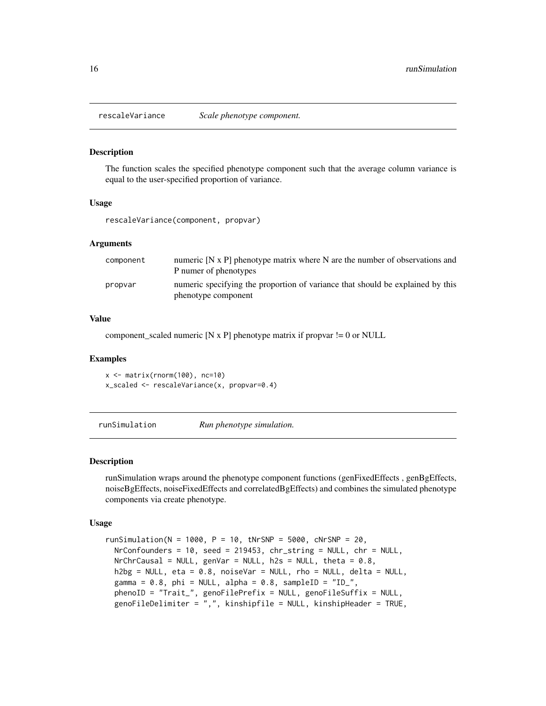<span id="page-15-1"></span><span id="page-15-0"></span>

#### Description

The function scales the specified phenotype component such that the average column variance is equal to the user-specified proportion of variance.

#### Usage

rescaleVariance(component, propvar)

#### Arguments

| component | numeric $[N \times P]$ phenotype matrix where N are the number of observations and<br>P numer of phenotypes |
|-----------|-------------------------------------------------------------------------------------------------------------|
| propvar   | numeric specifying the proportion of variance that should be explained by this<br>phenotype component       |

#### Value

component\_scaled numeric  $[N \times P]$  phenotype matrix if propvar  $!= 0$  or NULL

#### Examples

```
x \leftarrow \text{matrix}(rnorm(100), nc=10)x_scaled <- rescaleVariance(x, propvar=0.4)
```
<span id="page-15-2"></span>runSimulation *Run phenotype simulation.*

#### Description

runSimulation wraps around the phenotype component functions (genFixedEffects , genBgEffects, noiseBgEffects, noiseFixedEffects and correlatedBgEffects) and combines the simulated phenotype components via create phenotype.

#### Usage

```
runSimulation(N = 1000, P = 10, tNrSNP = 5000, cNrSNP = 20,
 NrConfounders = 10, seed = 219453, chr_string = NULL, chr = NULL,
 NrChrCausal = NULL, genVar = NULL, h2s = NULL, theta = 0.8,
 h2bg = NULL, eta = 0.8, noiseVar = NULL, rho = NULL, delta = NULL,
 gamma = 0.8, phi = NULL, alpha = 0.8, sampleID = "ID_",
 phenoID = "Trait_", genoFilePrefix = NULL, genoFileSuffix = NULL,
  genoFileDelimiter = ",", kinshipfile = NULL, kinshipHeader = TRUE,
```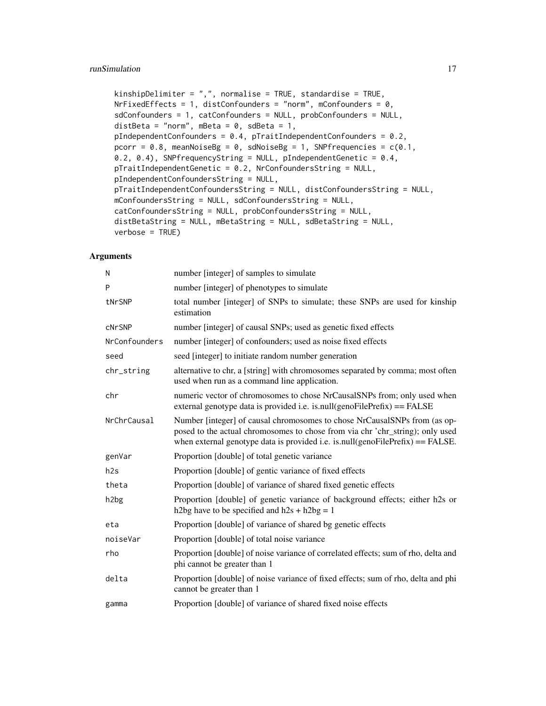#### runSimulation 17

```
kinshipDelimiter = ",", normalise = TRUE, standardise = TRUE,
NrFixedEffects = 1, distConfounders = "norm", mConfounders = \theta,
sdConfounders = 1, catConfounders = NULL, probConfounders = NULL,
distBeta = "norm", mBeta = 0, sdBeta = 1,
pIndependentConfounders = 0.4, pTraitIndependentConfounders = 0.2,
pcorr = 0.8, meanNoiseBg = 0, sdNoiseBg = 1, SNPfrequencies = c(0.1,0.2, 0.4), SNPfrequencyString = NULL, pIndependentGenetic = 0.4,
pTraitIndependentGenetic = 0.2, NrConfoundersString = NULL,
pIndependentConfoundersString = NULL,
pTraitIndependentConfoundersString = NULL, distConfoundersString = NULL,
mConfoundersString = NULL, sdConfoundersString = NULL,
catConfoundersString = NULL, probConfoundersString = NULL,
distBetaString = NULL, mBetaString = NULL, sdBetaString = NULL,
verbose = TRUE)
```

| N                 | number [integer] of samples to simulate                                                                                                                                                                                                        |
|-------------------|------------------------------------------------------------------------------------------------------------------------------------------------------------------------------------------------------------------------------------------------|
| P                 | number [integer] of phenotypes to simulate                                                                                                                                                                                                     |
| tNrSNP            | total number [integer] of SNPs to simulate; these SNPs are used for kinship<br>estimation                                                                                                                                                      |
| <b>cNrSNP</b>     | number [integer] of causal SNPs; used as genetic fixed effects                                                                                                                                                                                 |
| NrConfounders     | number [integer] of confounders; used as noise fixed effects                                                                                                                                                                                   |
| seed              | seed [integer] to initiate random number generation                                                                                                                                                                                            |
| chr_string        | alternative to chr, a [string] with chromosomes separated by comma; most often<br>used when run as a command line application.                                                                                                                 |
| chr               | numeric vector of chromosomes to chose NrCausalSNPs from; only used when<br>external genotype data is provided i.e. is null(genoFilePrefix) $==$ FALSE                                                                                         |
| NrChrCausal       | Number [integer] of causal chromosomes to chose NrCausalSNPs from (as op-<br>posed to the actual chromosomes to chose from via chr 'chr_string); only used<br>when external genotype data is provided i.e. is null(genoFilePrefix) = $FALSE$ . |
| genVar            | Proportion [double] of total genetic variance                                                                                                                                                                                                  |
| h2s               | Proportion [double] of gentic variance of fixed effects                                                                                                                                                                                        |
| theta             | Proportion [double] of variance of shared fixed genetic effects                                                                                                                                                                                |
| h <sub>2</sub> bg | Proportion [double] of genetic variance of background effects; either h2s or<br>h2bg have to be specified and $h2s + h2bg = 1$                                                                                                                 |
| eta               | Proportion [double] of variance of shared bg genetic effects                                                                                                                                                                                   |
| noiseVar          | Proportion [double] of total noise variance                                                                                                                                                                                                    |
| rho               | Proportion [double] of noise variance of correlated effects; sum of rho, delta and<br>phi cannot be greater than 1                                                                                                                             |
| delta             | Proportion [double] of noise variance of fixed effects; sum of rho, delta and phi<br>cannot be greater than 1                                                                                                                                  |
| gamma             | Proportion [double] of variance of shared fixed noise effects                                                                                                                                                                                  |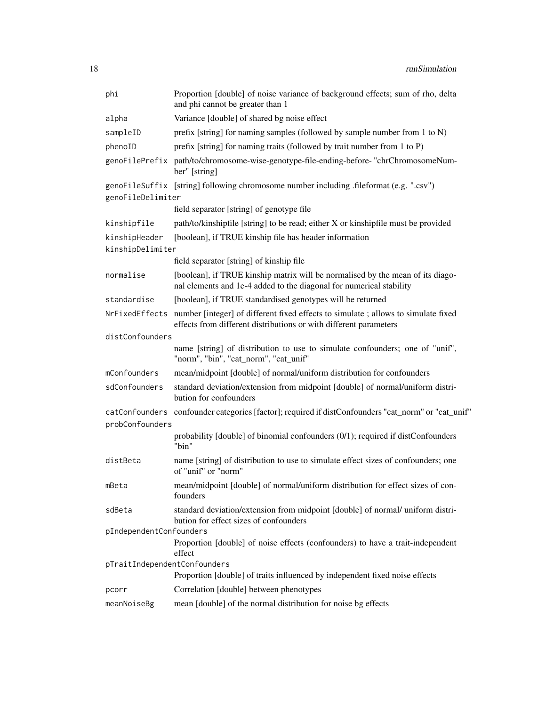| phi                          | Proportion [double] of noise variance of background effects; sum of rho, delta<br>and phi cannot be greater than 1                                                    |
|------------------------------|-----------------------------------------------------------------------------------------------------------------------------------------------------------------------|
| alpha                        | Variance [double] of shared bg noise effect                                                                                                                           |
| sampleID                     | prefix [string] for naming samples (followed by sample number from 1 to N)                                                                                            |
| phenoID                      | prefix [string] for naming traits (followed by trait number from 1 to P)                                                                                              |
|                              | genoFilePrefix path/to/chromosome-wise-genotype-file-ending-before-"chrChromosomeNum-<br>ber" [string]                                                                |
|                              | genoFileSuffix [string] following chromosome number including .fileformat (e.g. ".csv")                                                                               |
| genoFileDelimiter            |                                                                                                                                                                       |
|                              | field separator [string] of genotype file                                                                                                                             |
| kinshipfile                  | path/to/kinshipfile [string] to be read; either X or kinshipfile must be provided                                                                                     |
| kinshipHeader                | [boolean], if TRUE kinship file has header information                                                                                                                |
| kinshipDelimiter             |                                                                                                                                                                       |
|                              | field separator [string] of kinship file                                                                                                                              |
| normalise                    | [boolean], if TRUE kinship matrix will be normalised by the mean of its diago-<br>nal elements and 1e-4 added to the diagonal for numerical stability                 |
| standardise                  | [boolean], if TRUE standardised genotypes will be returned                                                                                                            |
|                              | NrFixedEffects number [integer] of different fixed effects to simulate; allows to simulate fixed<br>effects from different distributions or with different parameters |
| distConfounders              |                                                                                                                                                                       |
|                              | name [string] of distribution to use to simulate confounders; one of "unif",<br>"norm", "bin", "cat_norm", "cat_unif"                                                 |
| mConfounders                 | mean/midpoint [double] of normal/uniform distribution for confounders                                                                                                 |
| sdConfounders                | standard deviation/extension from midpoint [double] of normal/uniform distri-<br>bution for confounders                                                               |
|                              | catConfounders confounder categories [factor]; required if distConfounders "cat_norm" or "cat_unif"                                                                   |
| probConfounders              |                                                                                                                                                                       |
|                              | probability [double] of binomial confounders (0/1); required if distConfounders<br>"bin"                                                                              |
| distBeta                     | name [string] of distribution to use to simulate effect sizes of confounders; one<br>of "unif" or "norm"                                                              |
| mBeta                        | mean/midpoint [double] of normal/uniform distribution for effect sizes of con-<br>founders                                                                            |
| sdBeta                       | standard deviation/extension from midpoint [double] of normal/ uniform distri-<br>bution for effect sizes of confounders                                              |
| pIndependentConfounders      |                                                                                                                                                                       |
|                              | Proportion [double] of noise effects (confounders) to have a trait-independent<br>effect                                                                              |
| pTraitIndependentConfounders |                                                                                                                                                                       |
|                              | Proportion [double] of traits influenced by independent fixed noise effects                                                                                           |
| pcorr                        | Correlation [double] between phenotypes                                                                                                                               |
| meanNoiseBg                  | mean [double] of the normal distribution for noise bg effects                                                                                                         |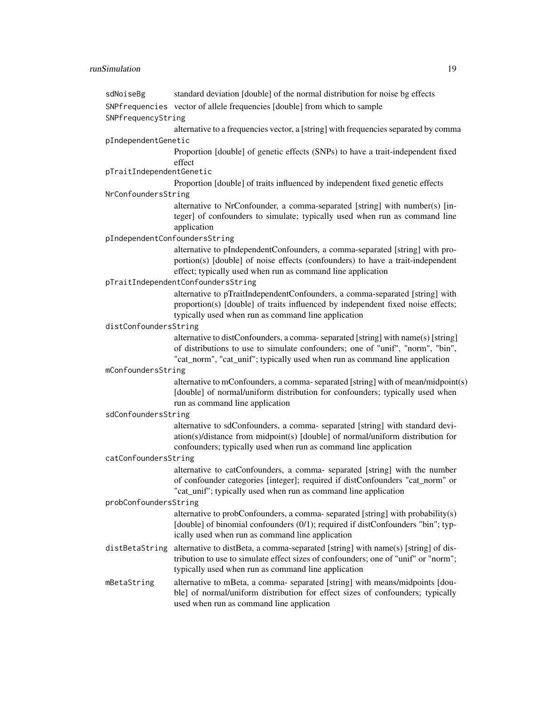## runSimulation 19

| sdNoiseBg                     | standard deviation [double] of the normal distribution for noise bg effects                                                                                                                                                                                         |
|-------------------------------|---------------------------------------------------------------------------------------------------------------------------------------------------------------------------------------------------------------------------------------------------------------------|
|                               | SNPfrequencies vector of allele frequencies [double] from which to sample                                                                                                                                                                                           |
| SNPfrequencyString            |                                                                                                                                                                                                                                                                     |
|                               | alternative to a frequencies vector, a [string] with frequencies separated by comma                                                                                                                                                                                 |
| pIndependentGenetic           |                                                                                                                                                                                                                                                                     |
|                               | Proportion [double] of genetic effects (SNPs) to have a trait-independent fixed<br>effect                                                                                                                                                                           |
| pTraitIndependentGenetic      |                                                                                                                                                                                                                                                                     |
|                               | Proportion [double] of traits influenced by independent fixed genetic effects                                                                                                                                                                                       |
| NrConfoundersString           |                                                                                                                                                                                                                                                                     |
|                               | alternative to NrConfounder, a comma-separated [string] with number(s) [in-<br>teger] of confounders to simulate; typically used when run as command line<br>application                                                                                            |
| pIndependentConfoundersString |                                                                                                                                                                                                                                                                     |
|                               | alternative to pIndependentConfounders, a comma-separated [string] with pro-<br>portion(s) [double] of noise effects (confounders) to have a trait-independent<br>effect; typically used when run as command line application<br>pTraitIndependentConfoundersString |
|                               | alternative to pTraitIndependentConfounders, a comma-separated [string] with                                                                                                                                                                                        |
|                               | proportion(s) [double] of traits influenced by independent fixed noise effects;<br>typically used when run as command line application                                                                                                                              |
| distConfoundersString         |                                                                                                                                                                                                                                                                     |
|                               | alternative to distConfounders, a comma-separated [string] with name(s) [string]<br>of distributions to use to simulate confounders; one of "unif", "norm", "bin",<br>"cat_norm", "cat_unif"; typically used when run as command line application                   |
| mConfoundersString            |                                                                                                                                                                                                                                                                     |
|                               | alternative to mConfounders, a comma-separated [string] with of mean/midpoint(s)<br>[double] of normal/uniform distribution for confounders; typically used when<br>run as command line application                                                                 |
| sdConfoundersString           |                                                                                                                                                                                                                                                                     |
|                               | alternative to sdConfounders, a comma- separated [string] with standard devi-<br>ation(s)/distance from midpoint(s) [double] of normal/uniform distribution for<br>confounders; typically used when run as command line application                                 |
| catConfoundersString          |                                                                                                                                                                                                                                                                     |
|                               | alternative to catConfounders, a comma-separated [string] with the number<br>of confounder categories [integer]; required if distConfounders "cat_norm" or<br>"cat_unif"; typically used when run as command line application                                       |
| probConfoundersString         |                                                                                                                                                                                                                                                                     |
|                               | alternative to probConfounders, a comma- separated [string] with probability(s)<br>[double] of binomial confounders (0/1); required if distConfounders "bin"; typ-<br>ically used when run as command line application                                              |
| distBetaString                | alternative to distBeta, a comma-separated [string] with name(s) [string] of dis-<br>tribution to use to simulate effect sizes of confounders; one of "unif" or "norm";<br>typically used when run as command line application                                      |
| mBetaString                   | alternative to mBeta, a comma- separated [string] with means/midpoints [dou-<br>ble] of normal/uniform distribution for effect sizes of confounders; typically<br>used when run as command line application                                                         |
|                               |                                                                                                                                                                                                                                                                     |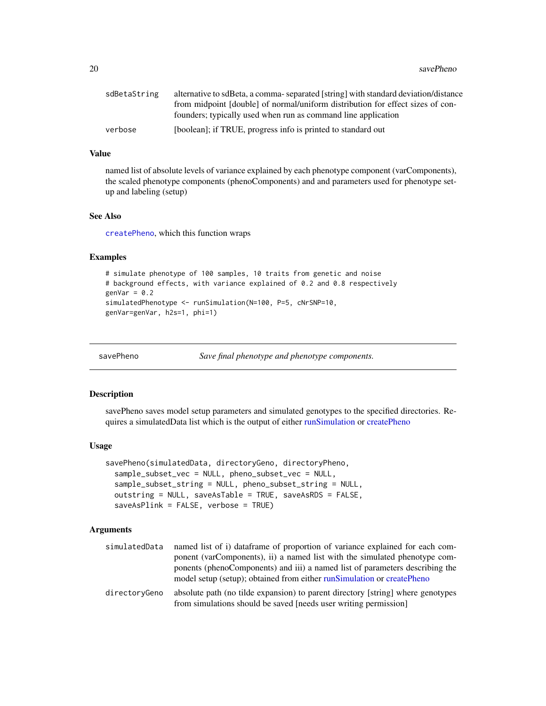<span id="page-19-0"></span>20 savePheno savePheno savePheno savePheno savePheno savePheno savePheno savePheno savePheno savePheno savePheno savePheno savePheno savePheno savePheno savePheno savePheno savePheno savePheno savePheno savePheno savePheno

| sdBetaString | alternative to sdBeta, a comma-separated [string] with standard deviation/distance |
|--------------|------------------------------------------------------------------------------------|
|              | from midpoint [double] of normal/uniform distribution for effect sizes of con-     |
|              | founders; typically used when run as command line application                      |
| verbose      | [boolean]; if TRUE, progress info is printed to standard out                       |

#### Value

named list of absolute levels of variance explained by each phenotype component (varComponents), the scaled phenotype components (phenoComponents) and and parameters used for phenotype setup and labeling (setup)

#### See Also

[createPheno](#page-3-1), which this function wraps

#### Examples

```
# simulate phenotype of 100 samples, 10 traits from genetic and noise
# background effects, with variance explained of 0.2 and 0.8 respectively
genVar = 0.2simulatedPhenotype <- runSimulation(N=100, P=5, cNrSNP=10,
genVar=genVar, h2s=1, phi=1)
```
<span id="page-19-1"></span>savePheno *Save final phenotype and phenotype components.*

#### Description

savePheno saves model setup parameters and simulated genotypes to the specified directories. Requires a simulatedData list which is the output of either [runSimulation](#page-15-2) or [createPheno](#page-3-1)

#### Usage

```
savePheno(simulatedData, directoryGeno, directoryPheno,
 sample_subset_vec = NULL, pheno_subset_vec = NULL,
 sample_subset_string = NULL, pheno_subset_string = NULL,
 outstring = NULL, saveAsTable = TRUE, saveAsRDS = FALSE,
 saveAsPlink = FALSE, verbose = TRUE)
```

| simulatedData | named list of i) dataframe of proportion of variance explained for each com-                                                                        |
|---------------|-----------------------------------------------------------------------------------------------------------------------------------------------------|
|               | ponent (varComponents), ii) a named list with the simulated phenotype com-                                                                          |
|               | ponents (phenoComponents) and iii) a named list of parameters describing the                                                                        |
|               | model setup (setup); obtained from either run Simulation or createPheno                                                                             |
| directoryGeno | absolute path (no tilde expansion) to parent directory [string] where genotypes<br>from simulations should be saved [needs user writing permission] |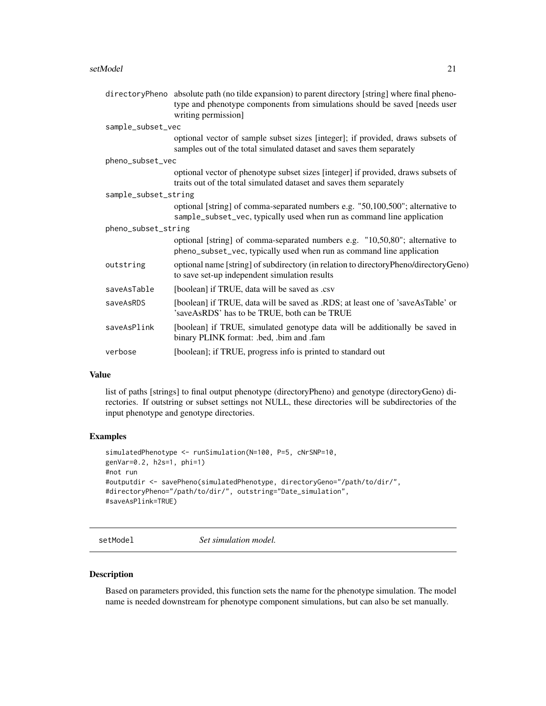#### <span id="page-20-0"></span>setModel 21

|                      | directoryPheno absolute path (no tilde expansion) to parent directory [string] where final pheno-                                                        |
|----------------------|----------------------------------------------------------------------------------------------------------------------------------------------------------|
|                      | type and phenotype components from simulations should be saved [needs user                                                                               |
|                      | writing permission]                                                                                                                                      |
| sample_subset_vec    |                                                                                                                                                          |
|                      | optional vector of sample subset sizes [integer]; if provided, draws subsets of<br>samples out of the total simulated dataset and saves them separately  |
| pheno_subset_vec     |                                                                                                                                                          |
|                      | optional vector of phenotype subset sizes [integer] if provided, draws subsets of<br>traits out of the total simulated dataset and saves them separately |
| sample_subset_string |                                                                                                                                                          |
|                      | optional [string] of comma-separated numbers e.g. "50,100,500"; alternative to<br>sample_subset_vec, typically used when run as command line application |
| pheno_subset_string  |                                                                                                                                                          |
|                      | optional [string] of comma-separated numbers e.g. "10,50,80"; alternative to<br>pheno_subset_vec, typically used when run as command line application    |
| outstring            | optional name [string] of subdirectory (in relation to directoryPheno/directoryGeno)<br>to save set-up independent simulation results                    |
| saveAsTable          | [boolean] if TRUE, data will be saved as .csv                                                                                                            |
| saveAsRDS            | [boolean] if TRUE, data will be saved as .RDS; at least one of 'saveAsTable' or<br>'saveAsRDS' has to be TRUE, both can be TRUE                          |
| saveAsPlink          | [boolean] if TRUE, simulated genotype data will be additionally be saved in<br>binary PLINK format: .bed, .bim and .fam                                  |
| verbose              | [boolean]; if TRUE, progress info is printed to standard out                                                                                             |

#### Value

list of paths [strings] to final output phenotype (directoryPheno) and genotype (directoryGeno) directories. If outstring or subset settings not NULL, these directories will be subdirectories of the input phenotype and genotype directories.

#### Examples

```
simulatedPhenotype <- runSimulation(N=100, P=5, cNrSNP=10,
genVar=0.2, h2s=1, phi=1)
#not run
#outputdir <- savePheno(simulatedPhenotype, directoryGeno="/path/to/dir/",
#directoryPheno="/path/to/dir/", outstring="Date_simulation",
#saveAsPlink=TRUE)
```
setModel *Set simulation model.*

#### Description

Based on parameters provided, this function sets the name for the phenotype simulation. The model name is needed downstream for phenotype component simulations, but can also be set manually.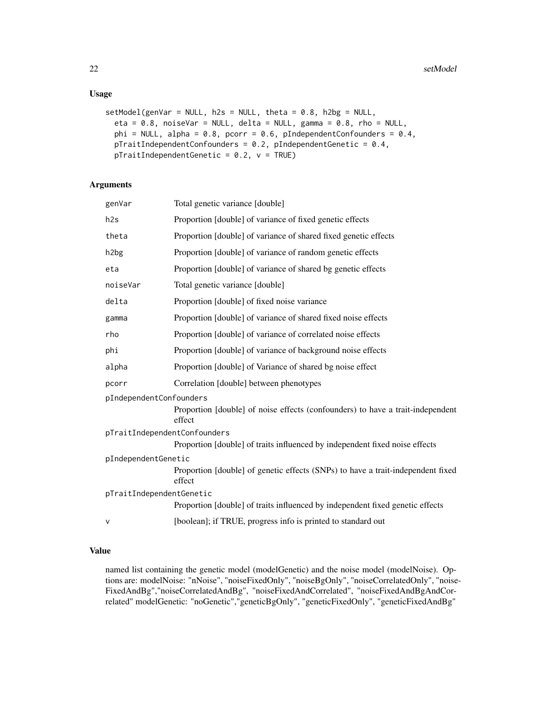#### Usage

```
setModel(genVar = NULL, h2s = NULL, theta = 0.8, h2bg = NULL,eta = 0.8, noiseVar = NULL, delta = NULL, gamma = 0.8, rho = NULL,
 phi = NULL, alpha = 0.8, pcorr = 0.6, pIndependentConfounders = 0.4,
 pTraitIndependentConfounders = 0.2, pIndependentGenetic = 0.4,
 pTraindependentGenetic = 0.2, v = TRUE)
```
#### Arguments

| genVar                       | Total genetic variance [double]                                                           |  |
|------------------------------|-------------------------------------------------------------------------------------------|--|
| h2s                          | Proportion [double] of variance of fixed genetic effects                                  |  |
| theta                        | Proportion [double] of variance of shared fixed genetic effects                           |  |
| h <sub>2</sub> bg            | Proportion [double] of variance of random genetic effects                                 |  |
| eta                          | Proportion [double] of variance of shared bg genetic effects                              |  |
| noiseVar                     | Total genetic variance [double]                                                           |  |
| delta                        | Proportion [double] of fixed noise variance                                               |  |
| gamma                        | Proportion [double] of variance of shared fixed noise effects                             |  |
| rho                          | Proportion [double] of variance of correlated noise effects                               |  |
| phi                          | Proportion [double] of variance of background noise effects                               |  |
| alpha                        | Proportion [double] of Variance of shared bg noise effect                                 |  |
| pcorr                        | Correlation [double] between phenotypes                                                   |  |
| pIndependentConfounders      | Proportion [double] of noise effects (confounders) to have a trait-independent<br>effect  |  |
| pTraitIndependentConfounders |                                                                                           |  |
|                              | Proportion [double] of traits influenced by independent fixed noise effects               |  |
| pIndependentGenetic          |                                                                                           |  |
|                              | Proportion [double] of genetic effects (SNPs) to have a trait-independent fixed<br>effect |  |
| pTraitIndependentGenetic     |                                                                                           |  |
|                              | Proportion [double] of traits influenced by independent fixed genetic effects             |  |
| v                            | [boolean]; if TRUE, progress info is printed to standard out                              |  |

#### Value

named list containing the genetic model (modelGenetic) and the noise model (modelNoise). Options are: modelNoise: "nNoise", "noiseFixedOnly", "noiseBgOnly", "noiseCorrelatedOnly", "noise-FixedAndBg","noiseCorrelatedAndBg", "noiseFixedAndCorrelated", "noiseFixedAndBgAndCorrelated" modelGenetic: "noGenetic","geneticBgOnly", "geneticFixedOnly", "geneticFixedAndBg"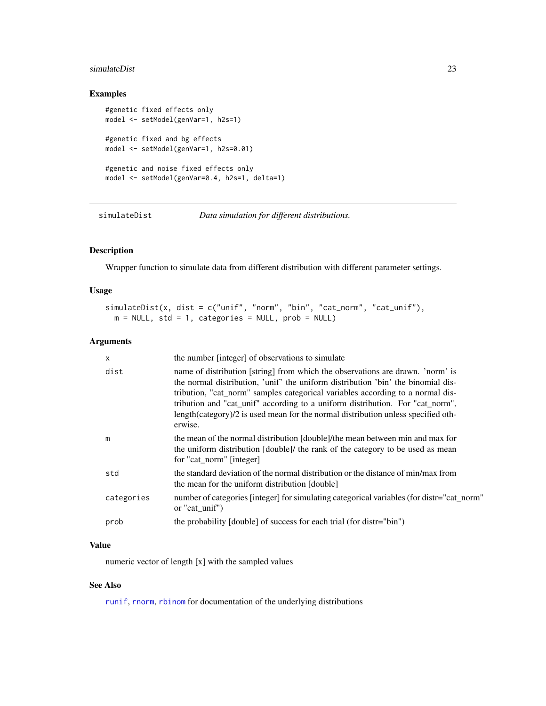#### <span id="page-22-0"></span>simulateDist 23

#### Examples

```
#genetic fixed effects only
model <- setModel(genVar=1, h2s=1)
#genetic fixed and bg effects
model <- setModel(genVar=1, h2s=0.01)
#genetic and noise fixed effects only
model <- setModel(genVar=0.4, h2s=1, delta=1)
```
<span id="page-22-1"></span>simulateDist *Data simulation for different distributions.*

#### Description

Wrapper function to simulate data from different distribution with different parameter settings.

#### Usage

```
simulateDist(x, dist = c("unif", "norm", "bin", "cat_norm", "cat_unif"),
 m = NULL, std = 1, categories = NULL, prob = NULL)
```
#### Arguments

| X          | the number [integer] of observations to simulate                                                                                                                                                                                                                                                                                                                                                                                      |
|------------|---------------------------------------------------------------------------------------------------------------------------------------------------------------------------------------------------------------------------------------------------------------------------------------------------------------------------------------------------------------------------------------------------------------------------------------|
| dist       | name of distribution [string] from which the observations are drawn. 'norm' is<br>the normal distribution, 'unif' the uniform distribution 'bin' the binomial dis-<br>tribution, "cat_norm" samples categorical variables according to a normal dis-<br>tribution and "cat_unif" according to a uniform distribution. For "cat_norm",<br>length(category)/2 is used mean for the normal distribution unless specified oth-<br>erwise. |
| m          | the mean of the normal distribution [double]/the mean between min and max for<br>the uniform distribution [double]/ the rank of the category to be used as mean<br>for "cat_norm" [integer]                                                                                                                                                                                                                                           |
| std        | the standard deviation of the normal distribution or the distance of min/max from<br>the mean for the uniform distribution [double]                                                                                                                                                                                                                                                                                                   |
| categories | number of categories [integer] for simulating categorical variables (for distr="cat_norm"<br>or "cat unif")                                                                                                                                                                                                                                                                                                                           |
| prob       | the probability [double] of success for each trial (for distr="bin")                                                                                                                                                                                                                                                                                                                                                                  |

## Value

numeric vector of length [x] with the sampled values

#### See Also

[runif](#page-0-0), [rnorm](#page-0-0), [rbinom](#page-0-0) for documentation of the underlying distributions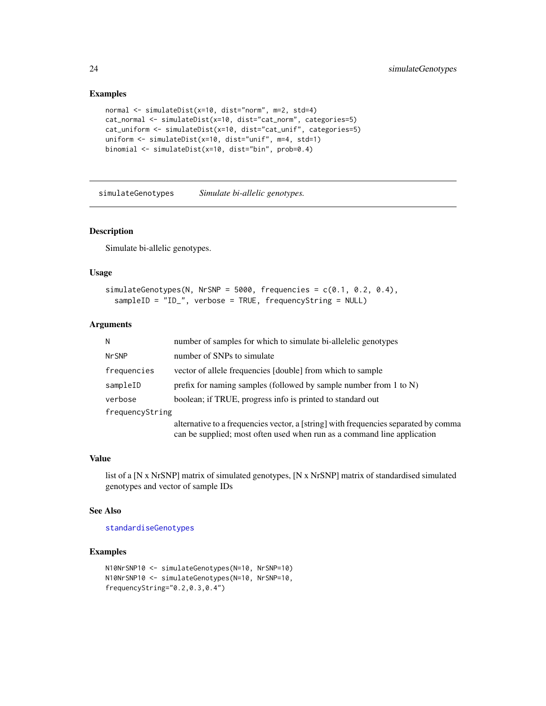#### Examples

```
normal <- simulateDist(x=10, dist="norm", m=2, std=4)
cat_normal <- simulateDist(x=10, dist="cat_norm", categories=5)
cat_uniform <- simulateDist(x=10, dist="cat_unif", categories=5)
uniform <- simulateDist(x=10, dist="unif", m=4, std=1)
binomial <- simulateDist(x=10, dist="bin", prob=0.4)
```
<span id="page-23-1"></span>simulateGenotypes *Simulate bi-allelic genotypes.*

#### Description

Simulate bi-allelic genotypes.

#### Usage

```
simulateGenotypes(N, NrSNP = 5000, frequencies = c(0.1, 0.2, 0.4),
  sampleID = "ID_", verbose = TRUE, frequencyString = NULL)
```
#### Arguments

| N               | number of samples for which to simulate bi-allelelic genotypes                                                                                                 |  |
|-----------------|----------------------------------------------------------------------------------------------------------------------------------------------------------------|--|
| <b>NrSNP</b>    | number of SNPs to simulate                                                                                                                                     |  |
| frequencies     | vector of allele frequencies [double] from which to sample                                                                                                     |  |
| sampleID        | prefix for naming samples (followed by sample number from $1$ to $N$ )                                                                                         |  |
| verbose         | boolean; if TRUE, progress info is printed to standard out                                                                                                     |  |
| frequencyString |                                                                                                                                                                |  |
|                 | alternative to a frequencies vector, a [string] with frequencies separated by comma<br>can be supplied; most often used when run as a command line application |  |

#### Value

list of a [N x NrSNP] matrix of simulated genotypes, [N x NrSNP] matrix of standardised simulated genotypes and vector of sample IDs

#### See Also

[standardiseGenotypes](#page-24-1)

```
N10NrSNP10 <- simulateGenotypes(N=10, NrSNP=10)
N10NrSNP10 <- simulateGenotypes(N=10, NrSNP=10,
frequencyString="0.2,0.3,0.4")
```
<span id="page-23-0"></span>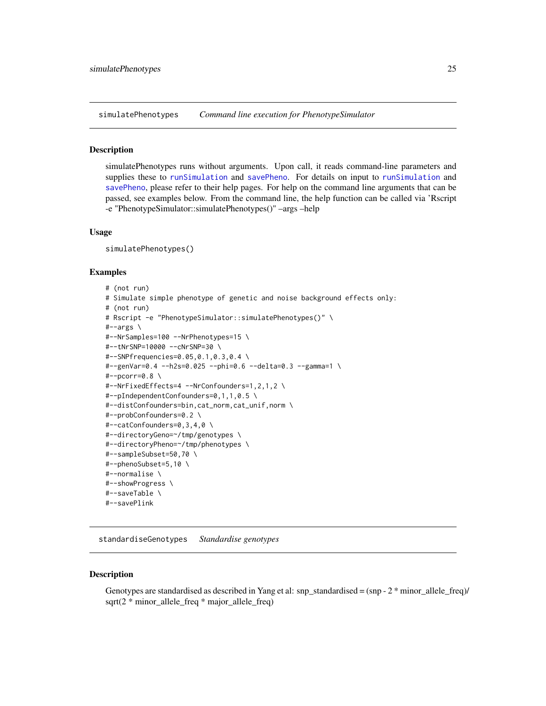<span id="page-24-0"></span>simulatePhenotypes *Command line execution for PhenotypeSimulator*

#### **Description**

simulatePhenotypes runs without arguments. Upon call, it reads command-line parameters and supplies these to [runSimulation](#page-15-2) and [savePheno](#page-19-1). For details on input to [runSimulation](#page-15-2) and [savePheno](#page-19-1), please refer to their help pages. For help on the command line arguments that can be passed, see examples below. From the command line, the help function can be called via 'Rscript -e "PhenotypeSimulator::simulatePhenotypes()" –args –help

#### Usage

simulatePhenotypes()

#### Examples

```
# (not run)
# Simulate simple phenotype of genetic and noise background effects only:
# (not run)
# Rscript -e "PhenotypeSimulator::simulatePhenotypes()" \
#--args \
#--NrSamples=100 --NrPhenotypes=15 \
#--tNrSNP=10000 --cNrSNP=30 \
#--SNPfrequencies=0.05,0.1,0.3,0.4 \
#--genVar=0.4 --h2s=0.025 --phi=0.6 --delta=0.3 --gamma=1 \
#--pcorr=0.8 \
#--NrFixedEffects=4 --NrConfounders=1,2,1,2 \
#--pIndependentConfounders=0,1,1,0.5 \
#--distConfounders=bin,cat_norm,cat_unif,norm \
#--probConfounders=0.2 \
#--catConfounders=0,3,4,0 \
#--directoryGeno=~/tmp/genotypes \
#--directoryPheno=~/tmp/phenotypes \
#--sampleSubset=50,70 \
#--phenoSubset=5,10 \
#--normalise \
#--showProgress \
#--saveTable \
#--savePlink
```
<span id="page-24-1"></span>standardiseGenotypes *Standardise genotypes*

#### Description

Genotypes are standardised as described in Yang et al: snp\_standardised =  $(\text{sp - 2 * minor\_ allele\_freq})$ / sqrt(2 \* minor\_allele\_freq \* major\_allele\_freq)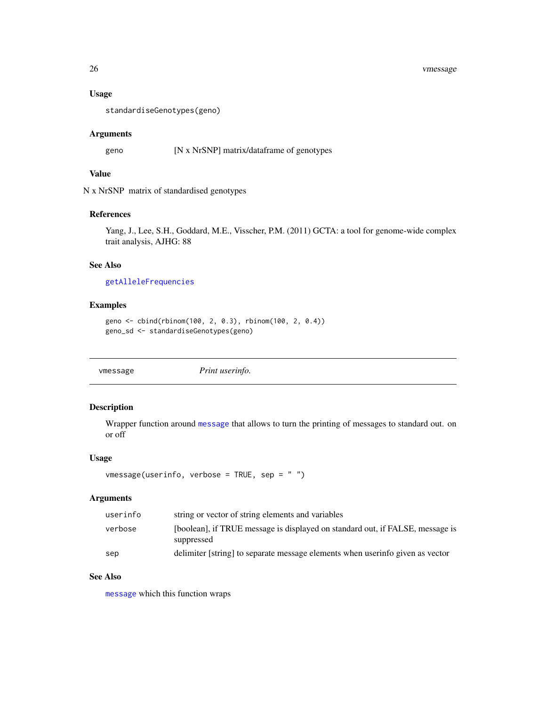#### 26 vmessage

#### Usage

```
standardiseGenotypes(geno)
```
#### Arguments

geno [N x NrSNP] matrix/dataframe of genotypes

#### Value

N x NrSNP matrix of standardised genotypes

#### References

Yang, J., Lee, S.H., Goddard, M.E., Visscher, P.M. (2011) GCTA: a tool for genome-wide complex trait analysis, AJHG: 88

#### See Also

[getAlleleFrequencies](#page-7-1)

#### Examples

```
geno <- cbind(rbinom(100, 2, 0.3), rbinom(100, 2, 0.4))
geno_sd <- standardiseGenotypes(geno)
```
vmessage *Print userinfo.*

#### Description

Wrapper function around [message](#page-0-0) that allows to turn the printing of messages to standard out. on or off

#### Usage

```
vmessage(userinfo, verbose = TRUE, sep = " ")
```
#### Arguments

| userinfo | string or vector of string elements and variables                                           |
|----------|---------------------------------------------------------------------------------------------|
| verbose  | [boolean], if TRUE message is displayed on standard out, if FALSE, message is<br>suppressed |
| sep      | delimiter [string] to separate message elements when userinfo given as vector               |

#### See Also

[message](#page-0-0) which this function wraps

<span id="page-25-0"></span>